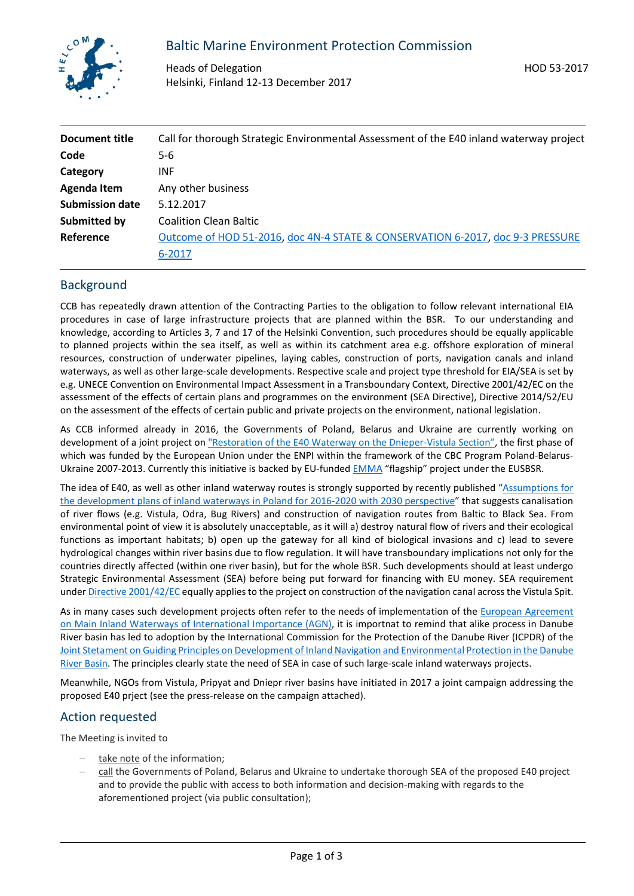

# Baltic Marine Environment Protection Commission

Heads of Delegation Helsinki, Finland 12-13 December 2017

| Document title         | Call for thorough Strategic Environmental Assessment of the E40 inland waterway project |
|------------------------|-----------------------------------------------------------------------------------------|
| Code                   | $5-6$                                                                                   |
| Category               | <b>INF</b>                                                                              |
| Agenda Item            | Any other business                                                                      |
| <b>Submission date</b> | 5.12.2017                                                                               |
| Submitted by           | <b>Coalition Clean Baltic</b>                                                           |
| Reference              | Outcome of HOD 51-2016, doc 4N-4 STATE & CONSERVATION 6-2017, doc 9-3 PRESSURE          |
|                        | 6-2017                                                                                  |

## **Background**

CCB has repeatedly drawn attention of the Contracting Parties to the obligation to follow relevant international EIA procedures in case of large infrastructure projects that are planned within the BSR. To our understanding and knowledge, according to Articles 3, 7 and 17 of the Helsinki Convention, such procedures should be equally applicable to planned projects within the sea itself, as well as within its catchment area e.g. offshore exploration of mineral resources, construction of underwater pipelines, laying cables, construction of ports, navigation canals and inland waterways, as well as other large-scale developments. Respective scale and project type threshold for EIA/SEA is set by e.g. UNECE Convention on Environmental Impact Assessment in a Transboundary Context, Directive 2001/42/EC on the assessment of the effects of certain plans and programmes on the environment (SEA Directive), Directive 2014/52/EU on the assessment of the effects of certain public and private projects on the environment, national legislation.

As CCB informed already in 2016, the Governments of Poland, Belarus and Ukraine are currently working on development of a joint project o[n "Restoration of the E40 Waterway on the Dnieper-Vistula Section",](http://www.e40restoration.eu/en/) the first phase of which was funded by the European Union under the ENPI within the framework of the CBC Program Poland-BelarusUkraine 2007-2013. Currently this initiative is backed by EU-funde[d EMMA](http://project-emma.eu/) "flagship" project under the EUSBSR.

The idea of E40, as well as other inland waterway routes is strongly supported by recently published ["Assumptions for](https://www.ihk-ostbrandenburg.de/blob/ffihk24/produktmarken/Standortpolitik/EU-Projekt-EMMA/3663896/a800b6d1e9086af4d38c2629c7d8294a/EMMA-Flyer-data.pdf)  [the development plans of inland waterways in Poland for 2016-2020 with 2030 perspective"](https://www.ihk-ostbrandenburg.de/blob/ffihk24/produktmarken/Standortpolitik/EU-Projekt-EMMA/3663896/a800b6d1e9086af4d38c2629c7d8294a/EMMA-Flyer-data.pdf) that suggests canalisation of river flows (e.g. Vistula, Odra, Bug Rivers) and construction of navigation routes from Baltic to Black Sea. From environmental point of view it is absolutely unacceptable, as it will a) destroy natural flow of rivers and their ecological functions as important habitats; b) open up the gateway for all kind of biological invasions and c) lead to severe hydrological changes within river basins due to flow regulation. It will have transboundary implications not only for the countries directly affected (within one river basin), but for the whole BSR. Such developments should at least undergo Strategic Environmental Assessment (SEA) before being put forward for financing with EU money. SEA requirement under [Directive 2001/42/EC](http://eur-lex.europa.eu/legal-content/EN/TXT/?uri=CELEX:32001L0042) equally applies to the project on construction of the navigation canal across the Vistula Spit.

As in many cases such development projects often refer to the needs of implementation of the European Agreement [on Main Inland Waterways of International Importance \(AGN\),](https://www.unece.org/fileadmin/DAM/trans/conventn/agn.pdf) it is importnat to remind that alike process in Danube River basin has led to adoption by the International Commission for the Protection of the Danube River (ICPDR) of the [Joint Stetament on Guiding Principles on Development of Inland Navigation and Environmental Protection in the Danube](https://www.icpdr.org/main/sites/default/files/Joint_Statement_FINAL.pdf)  [River Basin.](https://www.icpdr.org/main/sites/default/files/Joint_Statement_FINAL.pdf) The principles clearly state the need of SEA in case of such large-scale inland waterways projects.

Meanwhile, NGOs from Vistula, Pripyat and Dniepr river basins have initiated in 2017 a joint campaign addressing the proposed E40 prject (see the press-release on the campaign attached).

### Action requested

The Meeting is invited to

- take note of the information;
- call the Governments of Poland, Belarus and Ukraine to undertake thorough SEA of the proposed E40 project and to provide the public with access to both information and decision-making with regards to the aforementioned project (via public consultation);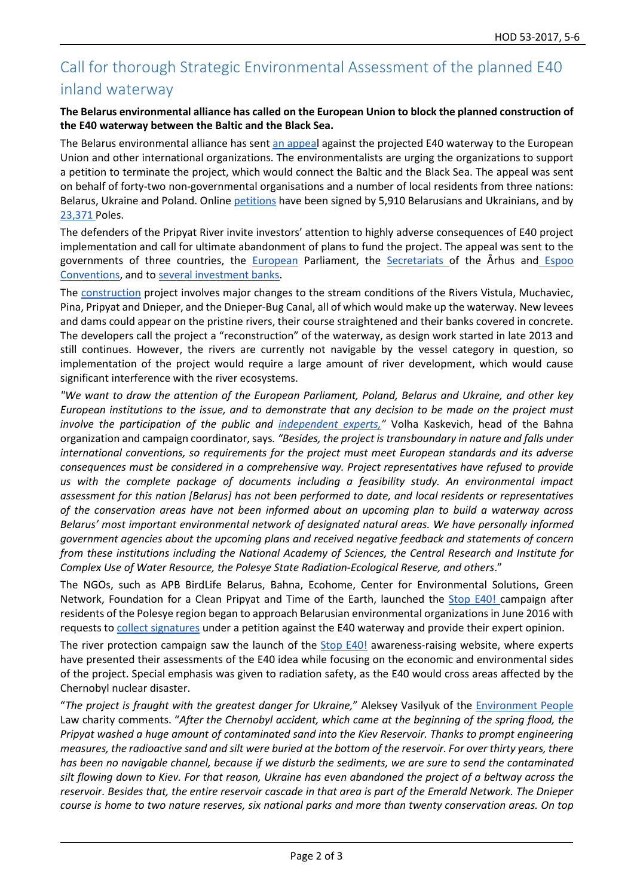# Call for thorough Strategic Environmental Assessment of the planned E40 inland waterway

### **The Belarus environmental alliance has called on the European Union to block the planned construction of the E40 waterway between the Baltic and the Black Sea.**

The Belarus environmental alliance has sent [an appeal](https://drive.google.com/open?id=0B1Oup9NEQTK3Q01hTmMzZzM5NWs) against the projected E40 waterway to the European Union and other international organizations. The environmentalists are urging the organizations to support a petition to terminate the project, which would connect the Baltic and the Black Sea. The appeal was sent on behalf of forty-two non-governmental organisations and a number of local residents from three nations: Belarus, Ukraine and Poland. Online [petitions](https://www.change.org/p/stop-e40-let-us-protect-our-rivers-together) have been signed by 5,910 Belarusians and Ukrainians, and by [23,371](http://www.godzinadlaziemi.pl/) Poles.

The defenders of the Pripyat River invite investors' attention to highly adverse consequences of E40 project implementation and call for ultimate abandonment of plans to fund the project. The appeal was sent to the governments of three countries, the **[European](https://drive.google.com/file/d/0B1Oup9NEQTK3VFNVcENFTFlfWWc/view)** Parliament, the **Secretariats** of the Århus and *Espoo* [Conventions,](http://stope40.org/#/en/articles/law) and to [several investment banks.](https://drive.google.com/open?id=0B1Oup9NEQTK3dFpIcU5QVWhqVkk)

The [construction](about:blank) project involves major changes to the stream conditions of the Rivers Vistula, Muchaviec, Pina, Pripyat and Dnieper, and the Dnieper-Bug Canal, all of which would make up the waterway. New levees and dams could appear on the pristine rivers, their course straightened and their banks covered in concrete. The developers call the project a "reconstruction" of the waterway, as design work started in late 2013 and still continues. However, the rivers are currently not navigable by the vessel category in question, so implementation of the project would require a large amount of river development, which would cause significant interference with the river ecosystems.

*"We want to draw the attention of the European Parliament, Poland, Belarus and Ukraine, and other key European institutions to the issue, and to demonstrate that any decision to be made on the project must involve the participation of the public and [independent experts,"](http://stope40.org/#/en/pages/expertise)* Volha Kaskevich, head of the Bahna organization and campaign coordinator, says*. "Besides, the project is transboundary in nature and falls under international conventions, so requirements for the project must meet European standards and its adverse consequences must be considered in a comprehensive way. Project representatives have refused to provide us with the complete package of documents including a feasibility study. An environmental impact assessment for this nation [Belarus] has not been performed to date, and local residents or representatives of the conservation areas have not been informed about an upcoming plan to build a waterway across Belarus' most important environmental network of designated natural areas. We have personally informed government agencies about the upcoming plans and received negative feedback and statements of concern from these institutions including the National Academy of Sciences, the Central Research and Institute for Complex Use of Water Resource, the Polesye State Radiation-Ecological Reserve, and others*."

The NGOs, such as APB BirdLife Belarus, Bahna, Ecohome, Center for Environmental Solutions, Green Network, Foundation for a Clean Pripyat and Time of the Earth, launched the [Stop E40! c](http://stope40.org/#/en/pages/aboutt)ampaign after residents of the Polesye region began to approach Belarusian environmental organizations in June 2016 with requests to [collect signatures](http://stope40.org/#/en/articles/public-opinion) under a petition against the E40 waterway and provide their expert opinion.

The river protection campaign saw the launch of the [Stop E40!](http://stope40.org/) awareness-raising website, where experts have presented their assessments of the E40 idea while focusing on the economic and environmental sides of the project. Special emphasis was given to radiation safety, as the E40 would cross areas affected by the Chernobyl nuclear disaster.

"*The project is fraught with the greatest danger for Ukraine,*" Aleksey Vasilyuk of the [Environment People](http://epl.org.ua/) Law charity comments. "*After the Chernobyl accident, which came at the beginning of the spring flood, the Pripyat washed a huge amount of contaminated sand into the Kiev Reservoir. Thanks to prompt engineering measures, the radioactive sand and silt were buried at the bottom of the reservoir. For over thirty years, there has been no navigable channel, because if we disturb the sediments, we are sure to send the contaminated silt flowing down to Kiev. For that reason, Ukraine has even abandoned the project of a beltway across the reservoir. Besides that, the entire reservoir cascade in that area is part of the Emerald Network. The Dnieper course is home to two nature reserves, six national parks and more than twenty conservation areas. On top*